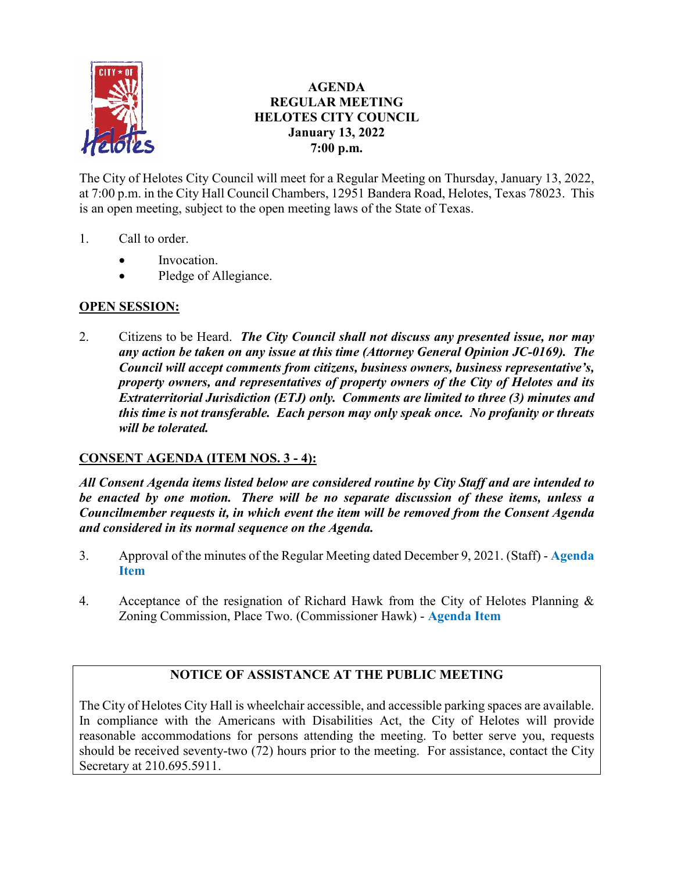

## **AGENDA REGULAR MEETING HELOTES CITY COUNCIL January 13, 2022 7:00 p.m.**

The City of Helotes City Council will meet for a Regular Meeting on Thursday, January 13, 2022, at 7:00 p.m. in the City Hall Council Chambers, 12951 Bandera Road, Helotes, Texas 78023. This is an open meeting, subject to the open meeting laws of the State of Texas.

- 1. Call to order.
	- Invocation.
	- Pledge of Allegiance.

## **OPEN SESSION:**

2. Citizens to be Heard. *The City Council shall not discuss any presented issue, nor may any action be taken on any issue at this time (Attorney General Opinion JC-0169). The Council will accept comments from citizens, business owners, business representative's, property owners, and representatives of property owners of the City of Helotes and its Extraterritorial Jurisdiction (ETJ) only. Comments are limited to three (3) minutes and this time is not transferable. Each person may only speak once. No profanity or threats will be tolerated.*

## **CONSENT AGENDA (ITEM NOS. 3 - 4):**

*All Consent Agenda items listed below are considered routine by City Staff and are intended to be enacted by one motion. There will be no separate discussion of these items, unless a Councilmember requests it, in which event the item will be removed from the Consent Agenda and considered in its normal sequence on the Agenda.*

- 3. Approval of the minutes of the Regular Meeting dated December 9, 2021. (Staff) **[Agenda](https://www.helotes-tx.gov/wp-content/uploads/2022/01/3-Minutes.pdf)  [Item](https://www.helotes-tx.gov/wp-content/uploads/2022/01/3-Minutes.pdf)**
- 4. Acceptance of the resignation of Richard Hawk from the City of Helotes Planning & Zoning Commission, Place Two. (Commissioner Hawk) - **[Agenda Item](https://www.helotes-tx.gov/wp-content/uploads/2022/01/4-Resignation-Hawk.pdf)**

# **NOTICE OF ASSISTANCE AT THE PUBLIC MEETING**

The City of Helotes City Hall is wheelchair accessible, and accessible parking spaces are available. In compliance with the Americans with Disabilities Act, the City of Helotes will provide reasonable accommodations for persons attending the meeting. To better serve you, requests should be received seventy-two (72) hours prior to the meeting. For assistance, contact the City Secretary at 210.695.5911.